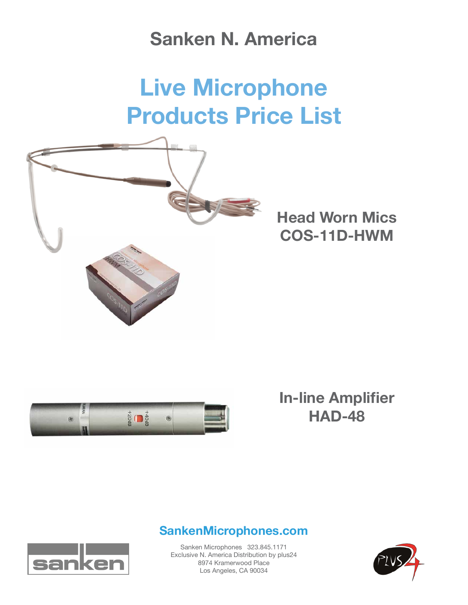## **Sanken N. America**

# **Live Microphone Products Price List**



**Head Worn Mics COS-11D-HWM**



### **In-line Amplifier HAD-48**

#### **SankenMicrophones.com**



Sanken Microphones 323.845.1171 Exclusive N. America Distribution by plus24 8974 Kramerwood Place Los Angeles, CA 90034

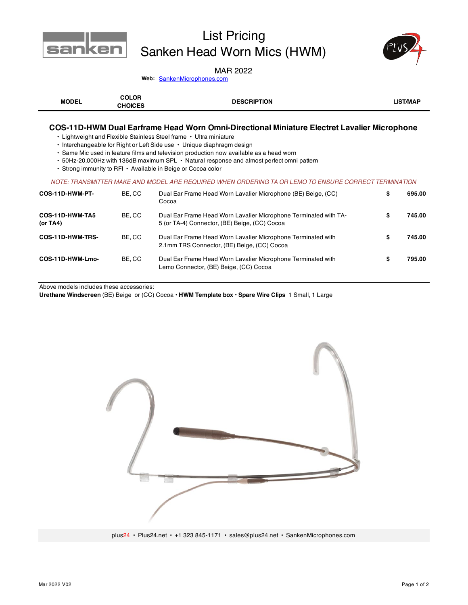

### List Pricing Sanken Head Worn Mics (HWM)



#### MAR 2022

Web: **SankenMicrophones.com** 

| <b>MODEL</b> | COLOR<br><b>CHOICES</b> | <b>DESCRIPTION</b> | <b>LIST/MAP</b> |
|--------------|-------------------------|--------------------|-----------------|
|--------------|-------------------------|--------------------|-----------------|

#### **COS-11D-HWM Dual Earframe Head Worn Omni-Directional Miniature Electret Lavalier Microphone**

• Lightweight and Flexible Stainless Steel frame • Ultra miniature

- Interchangeable for Right or Left Side use Unique diaphragm design
- Same Mic used in feature films and television production now available as a head worn
- 50Hz-20,000Hz with 136dB maximum SPL Natural response and almost perfect omni pattern
- Strong immunity to RFI Available in Beige or Cocoa color

#### *NOTE: TRANSMITTER MAKE AND MODEL ARE REQUIRED WHEN ORDERING TA OR LEMO TO ENSURE CORRECT TERMINATION*

| COS-11D-HWM-PT-                | BE.CC  | Dual Ear Frame Head Worn Lavalier Microphone (BE) Beige, (CC)<br>Cocoa                                            | S | 695.00 |
|--------------------------------|--------|-------------------------------------------------------------------------------------------------------------------|---|--------|
| COS-11D-HWM-TA5<br>(or $TA4$ ) | BE, CC | Dual Ear Frame Head Worn Lavalier Microphone Terminated with TA-<br>5 (or TA-4) Connector, (BE) Beige, (CC) Cocoa | S | 745.00 |
| COS-11D-HWM-TRS-               | BE.CC  | Dual Ear Frame Head Worn Lavalier Microphone Terminated with<br>2.1mm TRS Connector, (BE) Beige, (CC) Cocoa       | S | 745.00 |
| COS-11D-HWM-Lmo-               | BE.CC  | Dual Ear Frame Head Worn Lavalier Microphone Terminated with<br>Lemo Connector, (BE) Beige, (CC) Cocoa            |   | 795.00 |

Above models includes these accessories:

**Urethane Windscreen** (BE) Beige or (CC) Cocoa **• HWM Template box • Spare Wire Clips** 1 Small, 1 Large



plus24 • Plus24.net • +1 323 845-1171 • sales@plus24.net • SankenMicrophones.com